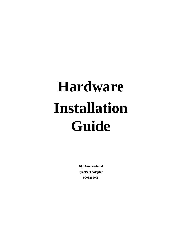# **Hardware Installation Guide**

**Digi International SyncPort Adapter 90032600 B**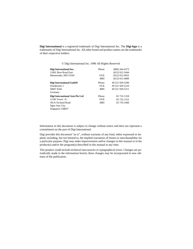**Digi International** is a registered trademark of Digi International Inc. The **Digi logo** is a trademarks of Digi International Inc. All other brand and product names are the trademarks of their respective holders.

| Digi International Inc.<br>11001 Bren Road East        | Phone                    | $(800)$ 344-4273<br>$(612)$ 912-3444 |
|--------------------------------------------------------|--------------------------|--------------------------------------|
| Minnetonka, MN 55343                                   | <b>FAX</b><br><b>BBS</b> | $(612)$ 912-4952<br>$(612)$ 912-4800 |
| Digi International GmbH                                | Phone                    | 49 221 920-5200                      |
| Domkloster 1                                           | <b>FAX</b>               | 49 221 920-5210                      |
| 50667 Köln<br>Germany                                  | <b>BBS</b>               | 49 221 920-5211                      |
| Digi International Asia Pte Ltd                        | Phone                    | 65 732-1318                          |
| 13-06 Tower 'A'                                        | <b>FAX</b>               | 65 732-1312                          |
| 391A Orchard Road<br>Ngee Ann City<br>Singapore 238837 | <b>BBS</b>               | 65 735-2460                          |

#### © Digi International Inc. 1996 All Rights Reserved

Information in this document is subject to change without notice and does not represent a commitment on the part of Digi International.

Digi provides this document "as is", without warranty of any kind, either expressed or implied, including, but not limited to, the implied warranties of fitness or merchantability for a particular purpose. Digi may make improvements and/or changes in this manual or in the product(s) and/or the program(s) described in this manual at any time.

This product could include technical inaccuracies or typographical errors. Changes are periodically made to the information herein; these changes may be incorporated in new editions of the publication.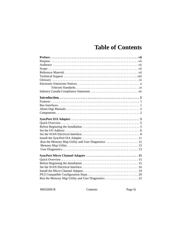### **Table of Contents**

90032600 B Contents Page iii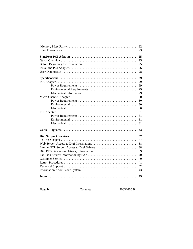Page iv Contents 90032600 B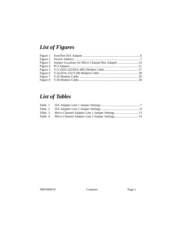### *List of Figures*

| Figure 3 Jumper Locations for Micro Channel Bus Adapter  14 |  |
|-------------------------------------------------------------|--|
|                                                             |  |
|                                                             |  |
|                                                             |  |
|                                                             |  |
|                                                             |  |

### *List of Tables*

| Table 2 |  |
|---------|--|
| Table 3 |  |
| Table 4 |  |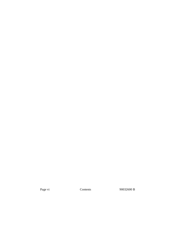Page vi Contents 90032600 B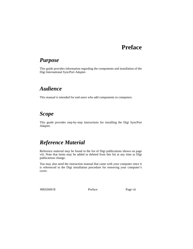### **Preface**

### <span id="page-6-0"></span>*Purpose*

This guide provides information regarding the components and installation of the Digi International SyncPort Adapter.

### *Audience*

This manual is intended for end users who add components to computers.

### *Scope*

This guide provides step-by-step instructions for installing the Digi SyncPort Adapter.

### *Reference Material*

Reference material may be found in the list of Digi publications shown on page [viii.](#page-7-0) Note that items may be added or deleted from this list at any time as Digi publications change.

You may also need the instruction manual that came with your computer since it is referenced in the Digi installation procedure for removing your computer's cover.

90032600 B Preface Page vii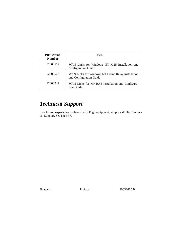<span id="page-7-0"></span>

| <b>Publication</b><br><b>Number</b> | Title                                                                        |
|-------------------------------------|------------------------------------------------------------------------------|
| 92000507                            | WAN Links for Windows NT X.25 Installation and<br><b>Configuration Guide</b> |
| 92000508                            | WAN Links for Windows NT Frame Relay Installation<br>and Configuration Guide |
| 92000242                            | WAN Links for MP-RAS Installation and Configura-<br>tion Guide               |

### *Technical Support*

Should you experience problems with Digi equipment, simply call Digi Technical Support. See [page 37](#page-48-0).

Page viii Preface 90032600 B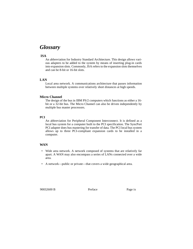### <span id="page-8-0"></span>*Glossary*

#### **ISA**

An abbreviation for Industry Standard Architecture. This design allows various adapters to be added to the system by means of inserting plug-in cards into expansion slots. Commonly, ISA refers to the expansion slots themselves and can be 8-bit or 16-bit slots.

#### **LAN**

Local area network. A communications architecture that passes information between multiple systems over relatively short distances at high speeds.

#### **Micro Channel**

The design of the bus in IBM PS/2 computers which functions as either a 16 bit or a 32-bit bus. The Micro Channel can also be driven independently by multiple bus master processors.

#### **PCI**

An abbreviation for Peripheral Component Interconnect. It is defined as a local bus system for a computer built to the PCI specification. The SyncPort PCI adapter does bus mastering for transfer of data. The PCI local bus system allows up to three PCI-compliant expansion cards to be installed in a computer.

#### **WAN**

- Wide area network. A network composed of systems that are relatively far apart. A WAN may also encompass a series of LANs connected over a wide area.
- A network—public or private—that covers a wide geographical area.

90032600 B Preface Page ix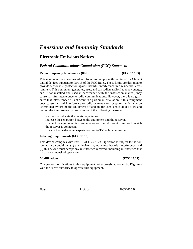### <span id="page-9-0"></span>*Emissions and Immunity Standards*

### **Electronic Emissions Notices**

#### *Federal Communications Commission (FCC) Statement*

#### **Radio Frequency Interference (RFI) (FCC 15.105)**

This equipment has been tested and found to comply with the limits for Class B digital devices pursuant to Part 15 of the FCC Rules. These limits are designed to provide reasonable protection against harmful interference in a residential environment. This equipment generates, uses, and can radiate radio frequency energy, and if not installed and used in accordance with the instruction manual, may cause harmful interference to radio communications. However, there is no guarantee that interference will not occur in a particular installation. If this equipment does cause harmful interference to radio or television reception, which can be determined by turning the equipment off and on, the user is encouraged to try and correct the interference by one or more of the following measures:

- Reorient or relocate the receiving antenna.
- Increase the separation between the equipment and the receiver.
- Connect the equipment into an outlet on a circuit different from that to which the receiver is connected.
- Consult the dealer or an experienced radio/TV technician for help.

#### **Labeling Requirements (FCC 15.19)**

This device complies with Part 15 of FCC rules. Operation is subject to the following two conditions: (1) this device may not cause harmful interference, and (2) this device must accept any interference received, including interference that may cause undesired operation.

#### **Modifications (FCC 15.21)**

Changes or modifications to this equipment not expressly approved by Digi may void the user's authority to operate this equipment.

Page x Preface 90032600 B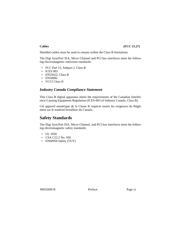#### <span id="page-10-0"></span>**Cables (FCC 15.27)**

Shielded cables must be used to remain within the Class B limitations.

The Digi SyncPort ISA, Micro Channel and PCI bus interfaces meet the following electromagnetic emissions standards:

- FCC Part 15, Subpart J, Class B
- ICES 003
- EN55022, Class B
- EN50082
- VCCI Class II

#### *Industry Canada Compliance Statement*

This Class B digital apparatus meets the requirements of the Canadian Interference-Causing Equipment Regulation (ICES-003 of Industry Canada, Class B).

Cet appareil numérique de la Classe B respecte toutes les exigences du Réglement sur le matériel brouilleur du Canada.

#### **Safety Standards**

The Digi SyncPort ISA, Micro Channel, and PCI bus interfaces meet the following electromagnetic safety standards:

- UL 1950
- CSA C22.2 No. 950
- EN60950 Safety (TUV)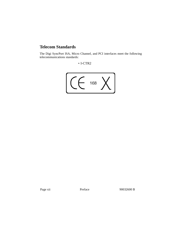#### <span id="page-11-0"></span>**Telecom Standards**

The Digi SyncPort ISA, Micro Channel, and PCI interfaces meet the following telecommunications standards:

#### • I-CTR2

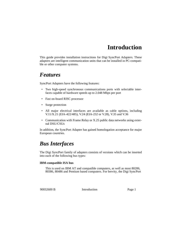### **Introduction**

<span id="page-12-0"></span>This guide provides installation instructions for Digi SyncPort Adapters. These adapters are intelligent communication units that can be installed in PC-compatible or other computer systems.

### *Features*

SyncPort Adapters have the following features:

- Two high-speed synchronous communications ports with selectable interfaces capable of hardware speeds up to 2.048 Mbps per port
- Fast on-board RISC processor
- Surge protection
- All major electrical interfaces are available as cable options, including V.11/X.21 (EIA-422/485), V.24 (EIA-232 or V.28), V.35 and V.36
- Communication with Frame Relay or X.25 public data networks using external DSU/CSUs

In addition, the SyncPort Adapter has gained homologation acceptance for major European countries.

### *Bus Interfaces*

The Digi SyncPort family of adapters consists of versions which can be inserted into each of the following bus types:

#### **IBM-compatible ISA bus**

This is used on IBM AT and compatible computers, as well as most 80286, 80386, 80486 and Pentium based computers. For brevity, the Digi SyncPort

90032600 B Introduction Page 1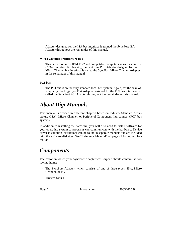<span id="page-13-0"></span>Adapter designed for the ISA bus interface is termed the SyncPort ISA Adapter throughout the remainder of this manual.

#### **Micro Channel architecture bus**

This is used on most IBM PS/2 and compatible computers as well as on RS-6000 computers. For brevity, the Digi SyncPort Adapter designed for the Micro Channel bus interface is called the SyncPort Micro Channel Adapter in the remainder of this manual.

#### **PCI bus**

The PCI bus is an industry standard local bus system. Again, for the sake of simplicity, the Digi SyncPort Adapter designed for the PCI bus interface is called the SyncPort PCI Adapter throughout the remainder of this manual.

### *About Digi Manuals*

This manual is divided in different chapters based on Industry Standard Architecture (ISA), Micro Channel, or Peripheral Component Interconnect (PCI) bus systems.

In addition to installing the hardware, you will also need to install software for your operating system so programs can communicate with the hardware. Device driver installation instructions can be found in separate manuals and are included with the software diskettes. [See "Reference Material" on page vii](#page-6-0) for more information.

### *Components*

The carton in which your SyncPort Adapter was shipped should contain the following items:

- The SyncPort Adapter, which consists of one of three types: ISA, Micro Channel, or PCI
- Modem cables

Page 2 Introduction 90032600 B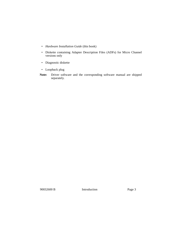- *Hardware Installation Guide* (this book)
- Diskette containing Adapter Description Files (ADFs) for Micro Channel versions only
- Diagnostic diskette
- Loopback plug
- **Note:** Driver software and the corresponding software manual are shipped separately.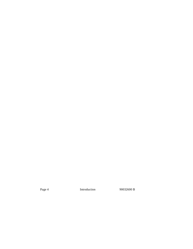Page 4 Introduction 90032600 B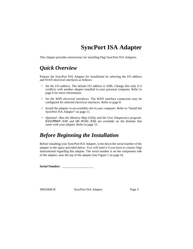## **SyncPort ISA Adapter**

<span id="page-16-0"></span>This chapter provides instructions for installing Digi SyncPort ISA Adapters.

### *Quick Overview*

Prepare the SyncPort ISA Adapter for installation by selecting the I/O address and WAN electrical interfaces as follows:

- *Set the I/O address.* The default I/O address is 328h. Change this only if it conflicts with another adapter installed in your personal computer. Refer to [page 6](#page-17-0) for more information.
- *Set the WAN electrical interfaces.* The WAN interface connectors may be configured for selected electrical interfaces. Refer to [page 8.](#page-19-0)
- *Install the adapter in an available slot in your computer*. Refer to ["Install the](#page-22-0) [SyncPort ISA Adapter" on page 11.](#page-22-0)
- *Optional—Run the Memory Map Utility and the User Diagnostics program*. DIGIMMAP.EXE and UD-RISC.EXE are available on the diskette that came with your adapter. Refer to [page 12.](#page-23-0)

### *Before Beginning the Installation*

Before installing your SyncPort ISA Adapter, write down the serial number of the adapter in the space provided below. You will need it if you have to contact Digi International regarding this adapter. The serial number is on the component side of the adapter, near the top of the adapter (see [Figure 1 on page 6\)](#page-17-0).

**Serial Number: \_ \_ \_ \_ \_ \_ \_ \_ \_ \_ \_ \_ \_**

90032600 B SyncPort ISA Adapter Page 5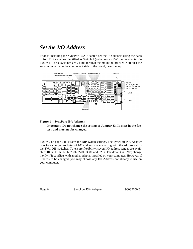### <span id="page-17-0"></span>*Set the I/O Address*

Prior to installing the SyncPort ISA Adapter, set the I/O address using the bank of four DIP switches identified as Switch 1 (called out as SW1 on the adapter) in Figure 1. These switches are visible through the mounting bracket. Note that the serial number is on the component side of the board, near the top.



#### **Figure 1 SyncPort ISA Adapter Important: Do not change the setting of Jumper J3. It is set in the factory and must not be changed.**

[Figure 2 on page 7](#page-18-0) illustrates the DIP switch settings. The SyncPort ISA Adapter uses four contiguous bytes of I/O address space, starting with the address set by the SW1 DIP switches. To ensure flexibility, seven I/O address ranges are available: 108h, 118h, 128h, 208h, 228h, 308h and 328h. The default is 328h; change it only if it conflicts with another adapter installed on your computer. However, if it needs to be changed, you may choose any I/O Address not already in use on your computer.

Page 6 SyncPort ISA Adapter 90032600 B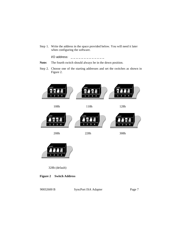<span id="page-18-0"></span>Step 1. Write the address in the space provided below. You will need it later when configuring the software.

 $I/O$  address: \_\_\_\_\_\_\_\_\_\_\_\_\_

- **Note:** The fourth switch should always be in the down position.
- Step 2. Choose one of the starting addresses and set the switches as shown in Figure 2.





**OFF**



208h 228h 308h

**1234**



328h (default)

**Figure 2 Switch Address**

90032600 B SyncPort ISA Adapter Page 7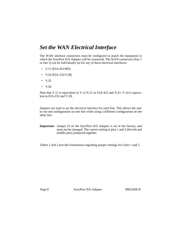### <span id="page-19-0"></span>*Set the WAN Electrical Interface*

The WAN interface connectors must be configured to match the equipment to which the SyncPort ISA Adapter will be connected. The WAN connectors (line 1) or line 2) can be individually set for any of these electrical interfaces:

- V.11 (EIA-422/485)
- V.24 (EIA-232/V.28)
- V.35
- V.36

Note that V.11 is equivalent to V.11/X.21 or EIA-422 and X.21; V.24 is equivalent to EIA-232 and V.28.

Jumpers are used to set the electrical interface for each line. This allows the user to run one configuration on one line while using a different configuration on the other line.

**Important:** Jumper J3 on the SyncPort ISA Adapter is set in the factory, and must not be changed. The correct setting is pins 1 and 2 (the left and middle pins) jumpered together.

Tables [1](#page-20-0) and [2](#page-21-0) provide information regarding jumper settings for Lines 1 and 2.

Page 8 SyncPort ISA Adapter 90032600 B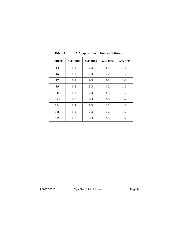<span id="page-20-0"></span>

| <b>Jumper</b>  | V.11 pins | $V.24$ pins | $V.35$ pins | V.36 pins |
|----------------|-----------|-------------|-------------|-----------|
| J <sub>4</sub> | $1 - 2$   | $2 - 3$     | $2 - 3$     | $1 - 2$   |
| J5             | $1 - 2$   | $2 - 3$     | $1 - 2$     | $1 - 2$   |
| $\bf J7$       | $1 - 2$   | $2 - 3$     | $2 - 3$     | $1-2$     |
| <b>J9</b>      | $1 - 2$   | $2 - 3$     | $1 - 2$     | $1 - 2$   |
| J11            | $1 - 2$   | $2 - 3$     | $2 - 3$     | $1 - 2$   |
| <b>J13</b>     | $1 - 2$   | $2 - 3$     | $2 - 3$     | $1 - 2$   |
| <b>J14</b>     | $1 - 2$   | $2 - 3$     | $1 - 2$     | $1 - 2$   |
| <b>J16</b>     | $1 - 2$   | $2 - 3$     | $1 - 2$     | $1 - 2$   |
| <b>J19</b>     | $1-2$     | $2 - 3$     | $2 - 3$     | $1 - 2$   |

**Table 1 ISA Adapter Line 1 Jumper Settings**

90032600 B SyncPort ISA Adapter Page 9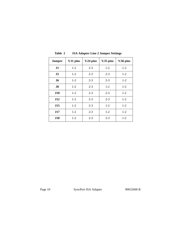<span id="page-21-0"></span>

| <b>Jumper</b>  | V.11 pins | V.24 pins | $V.35$ pins | V.36 pins |
|----------------|-----------|-----------|-------------|-----------|
| $\mathbf{J1}$  | $1 - 2$   | $2 - 3$   | $1 - 2$     | $1 - 2$   |
| $\bf J2$       | $1-2$     | $2 - 3$   | $2 - 3$     | $1 - 2$   |
| J6             | $1 - 2$   | $2 - 3$   | $2 - 3$     | $1-2$     |
| $\overline{a}$ | $1 - 2$   | $2 - 3$   | $1 - 2$     | $1 - 2$   |
| <b>J10</b>     | $1 - 2$   | $2 - 3$   | $2 - 3$     | $1 - 2$   |
| J12            | $1 - 2$   | $2 - 3$   | $2 - 3$     | $1 - 2$   |
| <b>J15</b>     | $1 - 2$   | $2 - 3$   | $1 - 2$     | $1 - 2$   |
| J17            | $1 - 2$   | $2 - 3$   | $1 - 2$     | $1 - 2$   |
| <b>J18</b>     | $1-2$     | $2 - 3$   | $2 - 3$     | $1 - 2$   |

**Table 2 ISA Adapter Line 2 Jumper Settings**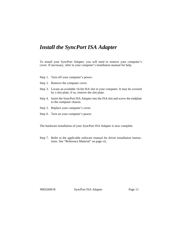### <span id="page-22-0"></span>*Install the SyncPort ISA Adapter*

To install your SyncPort Adapter, you will need to remove your computer's cover. If necessary, refer to your computer's installation manual for help.

- Step 1. Turn off your computer's power.
- Step 2. Remove the computer cover.
- Step 3. Locate an available 16-bit ISA slot in your computer. It may be covered by a slot plate; if so, remove the slot plate.
- Step 4. Insert the SyncPort ISA Adapter into the ISA slot and screw the endplate to the computer chassis.
- Step 5. Replace your computer's cover.
- Step 6. Turn on your computer's power.

The hardware installation of your SyncPort ISA Adapter is now complete.

Step 7. Refer to the applicable software manual for driver installation instructions. See ["Reference Material" on page vii](#page-6-0).

90032600 B SyncPort ISA Adapter Page 11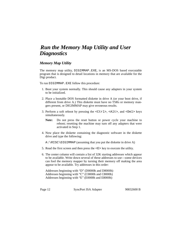### <span id="page-23-0"></span>.*Run the Memory Map Utility and User Diagnostics*

#### *Memory Map Utility*

The memory map utility, DIGIMMAP.EXE, is an MS-DOS based executable program that is designed to detail locations in memory that are available for the Digi product.

To run DIGIMMAP.EXE follow this procedure:

- 1. Boot your system normally. This should cause any adapters in your system to be initialized.
- 2. Place a bootable DOS formatted diskette in drive A (or your boot drive, if different from drive A.) This diskette must have no TSRs or memory mangers present, or DIGIMMAP may give erroneous results.
- 3. Perform a soft reboot by pressing the <Ctrl>, <Alt>, and <Del> keys simultaneously.
	- **Note:** Do not press the reset button or power cycle your machine to reboot; resetting the machine may turn off any adapters that were activated in Step 1.
- 4. Now place the diskette containing the diagnostic software in the diskette drive and type the following:

 $A:\RISC\DIGIMMAP$  (assuming that you put the diskette in drive A)

- 5. Read the first screen and then press the  $\leq E$  key to execute the utility.
- 6. The center column will contain a list of 32K starting addresses which appear to be available. Write down several of these addresses to use—some devices can fool the memory mapper by turning their memory off making the area appear to be available. Try addresses in this order:

Addresses beginning with "D" (D0000h and D8000h) Addresses beginning with "C" (C0000h and C8000h) Addresses beginning with "E" (E0000h and E8000h)

Page 12 SyncPort ISA Adapter 90032600 B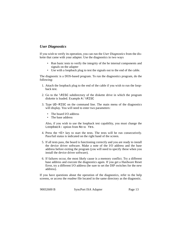#### <span id="page-24-0"></span>*User Diagnostics*

If you wish to verify its operation, you can run the *User Diagnostics* from the diskette that came with your adapter. Use the diagnostics in two ways

- Run basic tests to verify the integrity of the he internal components and signals on the adapter
- Use with a loopback plug to test the signals out to the end of the cable.

The diagnostic is a DOS-based program. To run the diagnostics program, do the following:

- 1. Attach the loopback plug to the end of the cable if you wish to run the loopback test.
- 2. Go to the \RISC subdirectory of the diskette drive in which the program diskette is loaded. Example A:\RISC
- 3. Type UD-RISC on the command line. The main menu of the diagnostics will display. You will need to enter two parameters:
	- The board I/O address
	- The base address

Also, if you wish to use the loopback test capability, you must change the Loopback: option from No to Yes.

- 4. Press the  $\leq$  key to start the tests. The tests will be run consecutively. Pass/fail status is indicated on the right hand of the screen.
- 5. If all tests pass, the board is functioning correctly and you are ready to install the device driver software. Make a note of the I/O address and the base address before exiting the program (you will need to specify these when you install the device driver software).
- 6. If failures occur, the most likely cause is a memory conflict. Try a different base address and execute the diagnostics again. If you get a Hardware Reset Error, try a different I/O address (be sure to set the DIP switches for the new address).

If you have questions about the operation of the diagnostics, refer to the help screens, or access the *readme* file located in the same directory as the diagnostic.

90032600 B SyncPort ISA Adapter Page 13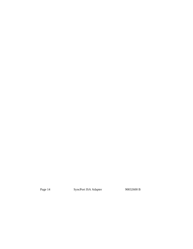Page 14 SyncPort ISA Adapter 90032600 B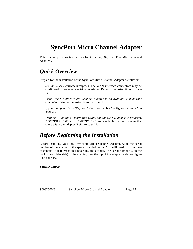## <span id="page-26-0"></span>**SyncPort Micro Channel Adapter**

This chapter provides instructions for installing Digi SyncPort Micro Channel Adapters.

### *Quick Overview*

Prepare for the installation of the SyncPort Micro Channel Adapter as follows:

- *Set the WAN electrical interfaces.* The WAN interface connectors may be configured for selected electrical interfaces. Refer to the instructions on [page](#page-27-0) [16.](#page-27-0)
- *Install the SyncPort Micro Channel Adapter in an available slot in your computer*. Refer to the instructions on [page 19.](#page-30-0)
- *If your computer is a PS/2*, read ["PS/2 Compatible Configuration Steps" on](#page-31-0) [page 20.](#page-31-0)
- *Optional—Run the Memory Map Utility and the User Diagnostics program*. DIGIMMAP.EXE and UD-RISC.EXE are available on the diskette that came with your adapter. Refer to [page 22.](#page-33-0)

### *Before Beginning the Installation*

Before installing your Digi SyncPort Micro Channel Adapter, write the serial number of the adapter in the space provided below. You will need it if you have to contact Digi International regarding the adapter. The serial number is on the back side (solder side) of the adapter, near the top of the adapter. Refer to [Figure](#page-27-0) [3 on page 16.](#page-27-0)

**Serial Number: \_ \_ \_ \_ \_ \_ \_ \_ \_ \_ \_ \_ \_**

90032600 B SyncPort Micro Channel Adapter Page 15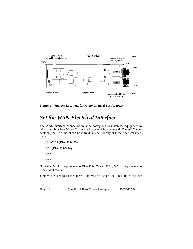<span id="page-27-0"></span>

**Figure 3 Jumper Locations for Micro Channel Bus Adapter**

### *Set the WAN Electrical Interface*

The WAN interface connectors must be configured to match the equipment to which the SyncPort Micro Channel Adapter will be connected. The WAN connectors (line 1 or line 2) can be individually set for any of these electrical interfaces:

- V.11/X.21 (EIA-422/485)
- V.24 (EIA-232/V.28)
- V.35
- V.36

Note that V.11 is equivalent to EIA-422/485 and X.21; V.24 is equivalent to EIA-232 or V.28.

Jumpers are used to set the electrical interface for each line. This allows the user

Page 16 SyncPort Micro Channel Adapter 90032600 B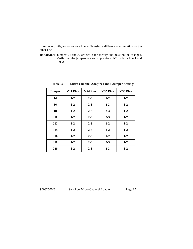to run one configuration on one line while using a different configuration on the other line.

| <b>Jumper</b>  | <b>V.11 Pins</b> | $V.24$ Pins | V.35 Pins | V.36 Pins |
|----------------|------------------|-------------|-----------|-----------|
| J <sub>4</sub> | $1 - 2$          | $2 - 3$     | $1 - 2$   | $1 - 2$   |
| J6             | $1 - 2$          | $2 - 3$     | $2 - 3$   | $1 - 2$   |
| $\bf J8$       | $1 - 2$          | $2 - 3$     | $2 - 3$   | $1 - 2$   |
| <b>J10</b>     | $1 - 2$          | $2 - 3$     | $2 - 3$   | $1 - 2$   |
| J12            | $1 - 2$          | $2 - 3$     | $1 - 2$   | $1 - 2$   |
| <b>J14</b>     | $1 - 2$          | $2 - 3$     | $1 - 2$   | $1 - 2$   |
| <b>J16</b>     | $1 - 2$          | $2 - 3$     | $1 - 2$   | $1 - 2$   |
| <b>J18</b>     | $1 - 2$          | $2 - 3$     | $2 - 3$   | $1 - 2$   |
| J20            | $1 - 2$          | $2 - 3$     | $2 - 3$   | $1 - 2$   |

**Table 3 Micro Channel Adapter Line 1 Jumper Settings**

90032600 B SyncPort Micro Channel Adapter Page 17

**Important:** Jumpers J1 and J2 are set in the factory and must not be changed. Verify that the jumpers are set to positions 1-2 for both line 1 and line  $2$ .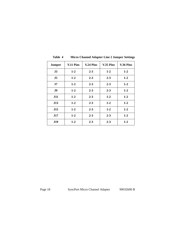| Jumper    | V.11 Pins | $V.24$ Pins | V.35 Pins | V.36 Pins |
|-----------|-----------|-------------|-----------|-----------|
| $\bf J3$  | $1-2$     | $2 - 3$     | $1 - 2$   | $1 - 2$   |
| J5        | $1-2$     | $2 - 3$     | $2 - 3$   | $1 - 2$   |
| $\bf J7$  | $1-2$     | $2 - 3$     | $2 - 3$   | $1-2$     |
| <b>J9</b> | $1 - 2$   | $2 - 3$     | $2 - 3$   | $1 - 2$   |
| J11       | $1 - 2$   | $2 - 3$     | $1 - 2$   | $1 - 2$   |
| J13       | $1 - 2$   | $2 - 3$     | $1 - 2$   | $1 - 2$   |
| J15       | $1 - 2$   | $2 - 3$     | $1 - 2$   | $1 - 2$   |
| J17       | $1 - 2$   | $2 - 3$     | $2 - 3$   | $1 - 2$   |
| J19       | $1 - 2$   | $2 - 3$     | $2 - 3$   | $1 - 2$   |

**Table 4 Micro Channel Adapter Line 2 Jumper Settings**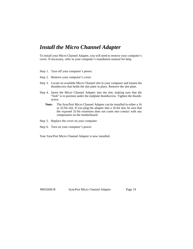### <span id="page-30-0"></span>*Install the Micro Channel Adapter*

To install your Micro Channel Adapter, you will need to remove your computer's cover. If necessary, refer to your computer's installation manual for help.

- Step 1. Turn off your computer's power.
- Step 2. Remove your computer's cover.
- Step 3. Locate an available Micro Channel slot in your computer and loosen the thumbscrew that holds the slot plate in place. Remove the slot plate.
- Step 4. Insert the Micro Channel Adapter into the slot, making sure that the "fork" is in position under the endplate thumbscrew. Tighten the thumbscrew.
	- **Note:** The SyncPort Micro Channel Adapter can be installed in either a 16 or 32-bit slot. If you plug the adapter into a 16-bit slot, be sure that the exposed 32-bit extension does not come into contact with any components on the motherboard.
- Step 5. Replace the cover on your computer.
- Step 6. Turn on your computer's power.

Your SyncPort Micro Channel Adapter is now installed.

90032600 B SyncPort Micro Channel Adapter Page 19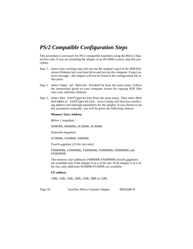### <span id="page-31-0"></span>*PS/2 Compatible Configuration Steps*

This procedure is necessary for PS/2 compatible machines using the Micro Channel bus only. If you are installing the adapter in an RS-6000 system, skip this procedure.

- Step 1. Insert your working copy (do not use the original copy) of the IBM Reference Diskette into your boot drive and turn on the computer. Expect an error message—the adapter will not be found in the configuration file at this point.
- Step 2. Select Copy an Option Diskette from the main menu. Follow the instructions given on your computer screen for copying ADF files onto your reference diskette.
- Step 3. Select Set Configuration from the main menu. Then select Run Automatic Configuration. Auto-Config will find non-conflicting address and interrupt parameters for the adapter. If you choose to set the parameters manually, you will be given the following choices:

#### **Memory Start Address**

*Below 1 megabyte:*

0D8000h, 0D0000h, 0C8000h, 0C0000h

*Sixteenth megabyte:*

FC0000h, FA0000h, F80000h

*Fourth gigabyte (32-bit slot only):* 

F0000000h, F2000000h, F4000000h, F6000000h, F8000000h and FA000000h

The memory start addresses F000000h-FA000000h (fourth gigabyte) are available only if the adapter is in a 32 bit slot. If the adapter is in a 16 bit slot, only addresses 0C0000h-FC0000h are available.

#### **I/O address**

108h, 118h, 128h, 208h, 228h, 308h or 328h.

Page 20 SyncPort Micro Channel Adapter 90032600 B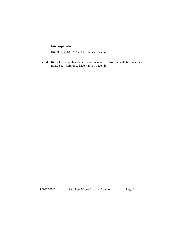#### **Interrupt Select**

IRQ 3, 5, 7, 10, 11, 12, 15 or None (disabled).

Step 4. Refer to the applicable software manual for driver installation instructions. See ["Reference Material" on page vii](#page-6-0).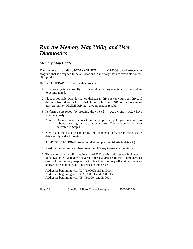### <span id="page-33-0"></span>*Run the Memory Map Utility and User Diagnostics*

#### *Memory Map Utility*

The memory map utility, DIGIMMAP.EXE, is an MS-DOS based executable program that is designed to detail locations in memory that are available for the Digi product.

To run DIGIMMAP.EXE follow this procedure:

- 1. Boot your system normally. This should cause any adapters in your system to be initialized.
- 2. Place a bootable DOS formatted diskette in drive A (or your boot drive, if different from drive A.) This diskette must have no TSRs or memory mangers present, or DIGIMMAP may give erroneous results.
- 3. Perform a soft reboot by pressing the <Ctrl>, <Alt>, and <Del> keys simultaneously.
	- **Note:** Do not press the reset button or power cycle your machine to reboot; resetting the machine may turn off any adapters that were activated in Step 1.
- 4. Now place the diskette containing the diagnostic software in the diskette drive and type the following:

 $A:\RISC\DIGIMMAP$  (assuming that you put the diskette in drive A)

- 5. Read the first screen and then press the  $\leq E$  key to execute the utility.
- 6. The center column will contain a list of 32K starting addresses which appear to be available. Write down several of these addresses to use—some devices can fool the memory mapper by turning their memory off making the area appear to be available. Try addresses in this order:

Addresses beginning with "D" (D0000h and D8000h) Addresses beginning with "C" (C0000h and C8000h) Addresses beginning with "E" (E0000h and E8000h)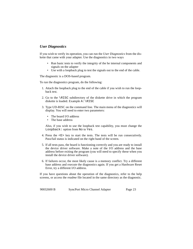#### <span id="page-34-0"></span>*User Diagnostics*

If you wish to verify its operation, you can run the *User Diagnostics* from the diskette that came with your adapter. Use the diagnostics in two ways

- Run basic tests to verify the integrity of the he internal components and signals on the adapter
- Use with a loopback plug to test the signals out to the end of the cable.

The diagnostic is a DOS-based program.

To run the diagnostics program, do the following:

- 1. Attach the loopback plug to the end of the cable if you wish to run the loopback test.
- 2. Go to the \RISC subdirectory of the diskette drive in which the program diskette is loaded. Example A:\RISC
- 3. Type UD-RISC on the command line. The main menu of the diagnostics will display. You will need to enter two parameters:
	- The board I/O address
	- The base address

Also, if you wish to use the loopback test capability, you must change the Loopback: option from No to Yes.

- 4. Press the  $\leq$  key to start the tests. The tests will be run consecutively. Pass/fail status is indicated on the right hand of the screen.
- 5. If all tests pass, the board is functioning correctly and you are ready to install the device driver software. Make a note of the I/O address and the base address before exiting the program (you will need to specify these when you install the device driver software).
- 6. If failures occur, the most likely cause is a memory conflict. Try a different base address and execute the diagnostics again. If you get a Hardware Reset Error, try a different I/O address.

If you have questions about the operation of the diagnostics, refer to the help screens, or access the *readme* file located in the same directory as the diagnostic.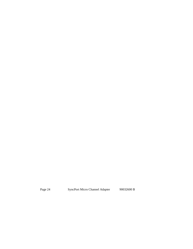Page 24 SyncPort Micro Channel Adapter 90032600 B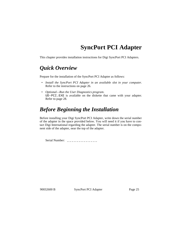## **SyncPort PCI Adapter**

<span id="page-36-0"></span>This chapter provides installation instructions for Digi SyncPort PCI Adapters.

### *Quick Overview*

Prepare for the installation of the SyncPort PCI Adapter as follows:

- *Install the SyncPort PCI Adapter in an available slot in your computer*. Refer to the instructions on [page 26.](#page-37-0)
- *Optional—Run the User Diagnostics program*. UD-PCI.EXE is available on the diskette that came with your adapter. Refer to [page 28](#page-39-0).

### *Before Beginning the Installation*

Before installing your Digi SyncPort PCI Adapter, write down the serial number of the adapter in the space provided below. You will need it if you have to contact Digi International regarding the adapter. The serial number is on the component side of the adapter, near the top of the adapter.

Serial Number:  $\qquad$  \_ \_ \_ \_ \_ \_ \_ \_ \_ \_ \_ \_ \_

90032600 B SyncPort PCI Adapter Page 25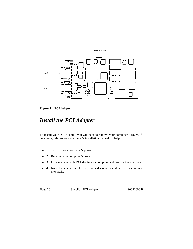<span id="page-37-0"></span>

**Figure 4 PCI Adapter**

### *Install the PCI Adapter*

To install your PCI Adapter, you will need to remove your computer's cover. If necessary, refer to your computer's installation manual for help.

- Step 1. Turn off your computer's power.
- Step 2. Remove your computer's cover.
- Step 3. Locate an available PCI slot in your computer and remove the slot plate.
- Step 4. Insert the adapter into the PCI slot and screw the endplate to the computer chassis.

Page 26 SyncPort PCI Adapter 90032600 B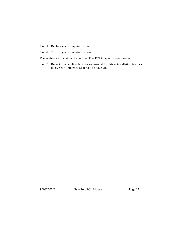- Step 5. Replace your computer's cover.
- Step 6. Turn on your computer's power.

The hardware installation of your SyncPort PCI Adapter is now installed.

Step 7. Refer to the applicable software manual for driver installation instructions. See ["Reference Material" on page vii](#page-6-0).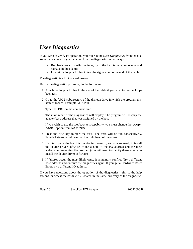### <span id="page-39-0"></span>*User Diagnostics*

If you wish to verify its operation, you can run the *User Diagnostics* from the diskette that came with your adapter. Use the diagnostics in two ways

- Run basic tests to verify the integrity of the he internal components and signals on the adapter
- Use with a loopback plug to test the signals out to the end of the cable.

The diagnostic is a DOS-based program.

To run the diagnostics program, do the following:

- 1. Attach the loopback plug to the end of the cable if you wish to run the loopback test.
- 2. Go to the  $\Per$  subdirectory of the diskette drive in which the program diskette is loaded. Example A:\PCI
- 3. Type UD-PCI on the command line.

The main menu of the diagnostics will display. The program will display the adapter base address that was assigned by the host.

If you wish to use the loopback test capability, you must change the Loopback: option from No to Yes.

- 4. Press the <E> key to start the tests. The tests will be run consecutively. Pass/fail status is indicated on the right hand of the screen.
- 5. If all tests pass, the board is functioning correctly and you are ready to install the device driver software. Make a note of the I/O address and the base address before exiting the program (you will need to specify these when you install the device driver software).
- 6. If failures occur, the most likely cause is a memory conflict. Try a different base address and execute the diagnostics again. If you get a Hardware Reset Error, try a different I/O address.

If you have questions about the operation of the diagnostics, refer to the help screens, or access the *readme* file located in the same directory as the diagnostic.

Page 28 SyncPort PCI Adapter 90032600 B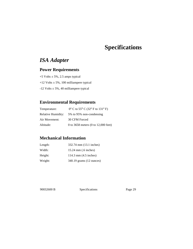### **Specifications**

### <span id="page-40-0"></span>*ISA Adapter*

### **Power Requirements**

- $+5$  Volts  $\pm$  5%, 2.5 amps typical
- +12 Volts  $\pm$  5%, 100 milliampere typical
- -12 Volts  $\pm$  5%, 40 milliampere typical

### **Environmental Requirements**

| Temperature:       | $0^{\circ}$ C to 55 <sup>o</sup> C (32 <sup>o</sup> F to 131 <sup>o</sup> F) |
|--------------------|------------------------------------------------------------------------------|
| Relative Humidity: | 5% to 95% non-condensing                                                     |
| Air Movement:      | 30 CFM Forced                                                                |
| Altitude:          | 0 to 3658 meters (0 to 12,000 feet)                                          |

### **Mechanical Information**

| Length: | 332.74 mm (13.1 inches)        |
|---------|--------------------------------|
| Width:  | $15.24 \text{ mm}$ (.6 inches) |
| Height: | 114.3 mm $(4.5$ inches)        |
| Weight: | 340.19 grams (12 ounces)       |

90032600 B Specifications Page 29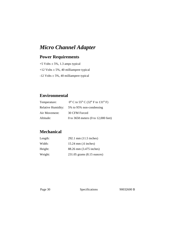### <span id="page-41-0"></span>*Micro Channel Adapter*

### **Power Requirements**

- +5 Volts  $\pm$  5%, 1.3 amps typical
- +12 Volts  $\pm$  5%, 40 milliampere typical
- -12 Volts ± 5%, 40 milliampere typical

#### **Environmental**

| Temperature:       | $0^{\circ}$ C to 55 <sup>o</sup> C (32 <sup>o</sup> F to 131 <sup>o</sup> F) |
|--------------------|------------------------------------------------------------------------------|
| Relative Humidity: | 5% to 95% non-condensing                                                     |
| Air Movement:      | 30 CFM Forced                                                                |
| Altitude:          | 0 to 3658 meters (0 to 12,000 feet)                                          |

### **Mechanical**

| Length: | 292.1 mm (11.5 inches)         |
|---------|--------------------------------|
| Width:  | $15.24 \text{ mm}$ (.6 inches) |
| Height: | 88.26 mm (3.475 inches)        |
| Weight: | 231.05 grams (8.15 ounces)     |

Page 30 Specifications 90032600 B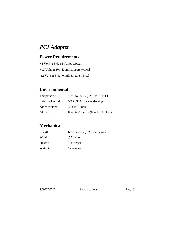### <span id="page-42-0"></span>*PCI Adapter*

### **Power Requirements**

 $+5$  Volts  $\pm$  5%, 1.5 Amps typical +12 Volts  $\pm$  5%, 40 milliampere typical -12 Volts ± 5%, 40 milliampere typical

### **Environmental**

| Temperature:       | $0^{\circ}$ C to 55 <sup>o</sup> C (32 <sup>o</sup> F to 131 <sup>o</sup> F) |
|--------------------|------------------------------------------------------------------------------|
| Relative Humidity: | 5% to 95% non-condensing                                                     |
| Air Movement:      | 30 CFM Forced                                                                |
| Altitude:          | 0 to 3658 meters (0 to 12,000 feet)                                          |

### **Mechanical**

| Length: | $6.875$ inches $(1/2 \text{ length card})$ |
|---------|--------------------------------------------|
| Width:  | .55 inches                                 |
| Height: | 4.2 inches                                 |
| Weight: | 12 ounces                                  |

90032600 B Specifications Page 31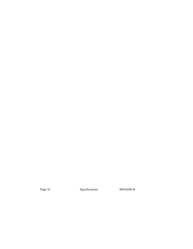Page 32 Specifications 90032600 B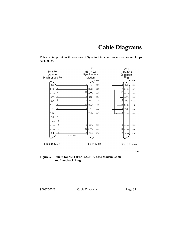### **Cable Diagrams**

<span id="page-44-0"></span>This chapter provides illustrations of SyncPort Adapter modem cables and loopback plugs.



AR0010

#### **Figure 5 Pinout for V.11 (EIA-422/EIA-485) Modem Cable and Loopback Plug**

90032600 B Cable Diagrams Page 33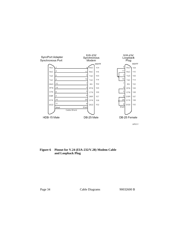<span id="page-45-0"></span>

**Figure 6 Pinout for V.24 (EIA-232/V.28) Modem Cable and Loopback Plug**

Page 34 Cable Diagrams 90032600 B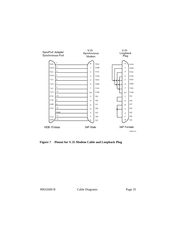<span id="page-46-0"></span>

**Figure 7 Pinout for V.35 Modem Cable and Loopback Plug**

90032600 B Cable Diagrams Page 35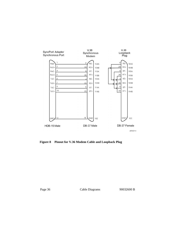<span id="page-47-0"></span>

**Figure 8 Pinout for V.36 Modem Cable and Loopback Plug**

Page 36 Cable Diagrams 90032600 B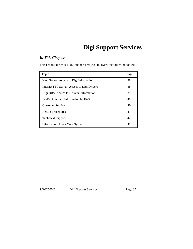## **Digi Support Services**

#### <span id="page-48-0"></span>*In This Chapter*

This chapter describes Digi support services. It covers the following topics:

| Topic                                       |    |
|---------------------------------------------|----|
| Web Server: Access to Digi Information      |    |
| Internet FTP Server: Access to Digi Drivers |    |
| Digi BBS: Access to Drivers, Information    | 39 |
| FaxBack Server: Information by FAX          |    |
| Customer Service                            |    |
| <b>Return Procedures</b>                    |    |
| <b>Technical Support</b>                    | 42 |
| <b>Information About Your System</b>        |    |

90032600 B Digi Support Services Page 37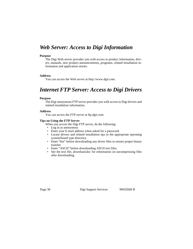### <span id="page-49-0"></span>*Web Server: Access to Digi Information*

#### **Purpose**

The Digi Web server provides you with access to product information, drivers, manuals, new product announcements, programs, related installation information and application stories.

#### **Address**

You can access the Web server at http://www.dgii.com.

### *Internet FTP Server: Access to Digi Drivers*

#### **Purpose**

The Digi anonymous FTP server provides you with access to Digi drivers and related installation information.

#### **Address**

You can access the FTP server at ftp.dgii.com.

#### **Tips on Using the FTP Server**

When you access the Digi FTP server, do the following:

- Log in as anonymous
- Enter your E-mail address when asked for a password.
- Locate drivers and related installation tips in the appropriate operating system/board type directory.
- Enter "bin" before downloading any driver files to ensure proper binary transfer.
- Enter "ASCII" before downloading ASCII text files.
- See the text file, *download.doc* for information on uncompressing files after downloading.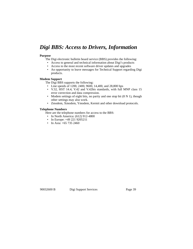### <span id="page-50-0"></span>*Digi BBS: Access to Drivers, Information*

#### **Purpose**

The Digi electronic bulletin board service (BBS) provides the following:

- Access to general and technical information about Digi's products
- Access to the most recent software driver updates and upgrades
- An opportunity to leave messages for Technical Support regarding Digi products.

#### **Modem Support**

The Digi BBS supports the following:

- Line speeds of 1200, 2400, 9600, 14,400, and 28,800 bps
- V.32, HST 14.4, V.42 and V.42bis standards, with full MNP class 15 error correction and data compression.
- Modem settings of eight bits, no parity and one stop bit (8 N 1), though other settings may also work.
- Zmodem, Xmodem, Ymodem, Kermit and other download protocols.

#### **Telephone Numbers**

Here are the telephone numbers for access to the BBS:

- In North America: (612) 912-4800
- In Europe: +49 221 9205211
- In Asia:  $+65$  735 2460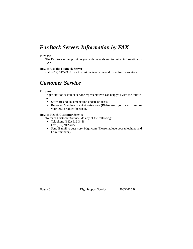### <span id="page-51-0"></span>*FaxBack Server: Information by FAX*

#### **Purpose**

The FaxBack server provides you with manuals and technical information by FAX.

#### **How to Use the FaxBack Server**

Call (612) 912-4990 on a touch-tone telephone and listen for instructions.

### *Customer Service*

#### **Purpose**

Digi's staff of customer service representatives can help you with the following:

- Software and documentation update requests
- Returned Merchandise Authorizations (RMAs)—if you need to return your Digi product for repair.

#### **How to Reach Customer Service**

To reach Customer Service, do any of the following:

- Telephone (612) 912-3456
- Fax (612) 912-4959
- Send E-mail to cust\_serv@dgii.com (Please include your telephone and FAX numbers.)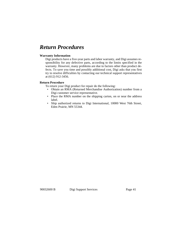### <span id="page-52-0"></span>*Return Procedures*

#### **Warranty Information**

Digi products have a five-year parts and labor warranty, and Digi assumes responsibility for any defective parts, according to the limits specified in the warranty. However, many problems are due to factors other than product defects. To save you time and possibly additional cost, Digi asks that you first try to resolve difficulties by contacting our technical support representatives at (612) 912-3456.

#### **Return Procedure**

To return your Digi product for repair do the following:

- Obtain an RMA (Returned Merchandise Authorization) number from a Digi customer service representative.
- Place the RMA number on the shipping carton, on or near the address label.
- Ship authorized returns to Digi International, 10000 West 76th Street, Eden Prairie, MN 55344.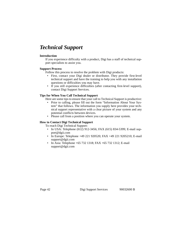### <span id="page-53-0"></span>*Technical Support*

#### **Introduction**

If you experience difficulty with a product, Digi has a staff of technical support specialists to assist you.

#### **Support Process**

Follow this process to resolve the problem with Digi products:

- First, contact your Digi dealer or distributor. They provide first-level technical support and have the training to help you with any installation questions or difficulties you may have.
- If you still experience difficulties (after contacting first-level support), contact Digi Support Services.

#### **Tips for When You Call Technical Support**

Here are some tips to ensure that your call to Technical Support is productive:

- Prior to calling, please fill out the form "Information About Your System" that follows. The information you supply here provides your technical support representative with a clear picture of your system and any potential conflicts between devices.
- Please call from a position where you can operate your system.

#### **How to Contact Digi Technical Support**

To reach Digi Technical Support:

- In USA: Telephone (612) 912-3456; FAX (615) 834-5399; E-mail support@dgii.com
- In Europe: Telephone +49 221 920520; FAX +49 221 9205210; E-mail support@dgii.com
- In Asia: Telephone +65 732 1318; FAX +65 732 1312; E-mail support@dgii.com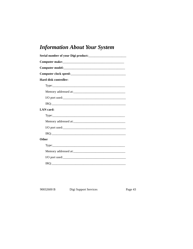### <span id="page-54-0"></span>**Information About Your System**

| Hard disk controller: |
|-----------------------|
| Type:                 |
|                       |
|                       |
| IRQ:                  |
| LAN card:             |
|                       |
|                       |
|                       |
|                       |
| Other                 |
|                       |
|                       |
|                       |
|                       |

90032600 B

Digi Support Services

Page 43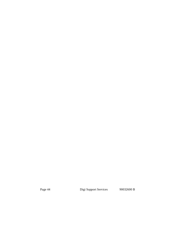Page 44 Digi Support Services 90032600 B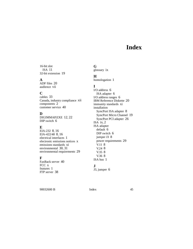### **Index**

16-bit slot ISA [11](#page-22-0) 32-bit extension [19](#page-30-0)

#### **A**

ADF files [20](#page-31-0) audience [vii](#page-6-0)

#### **C**

cables [33](#page-44-0) Canada, industry compliance [xii](#page-11-0) components [2](#page-13-0) customer service [40](#page-51-0)

#### **D**

DIGIMMAP.EXE [12](#page-23-0), [22](#page-33-0) DIP switch [6](#page-17-0)

#### **E**

EIA-232 [8](#page-19-0), [16](#page-27-0) EIA-422/48 [8,](#page-19-0) [16](#page-27-0) electrical interfaces [1](#page-12-0) electronic emissions notices [x](#page-9-0) emissions standards xi environmental [30](#page-41-0), [31](#page-42-0) environmental requirements [29](#page-40-0)

#### **F**

FaxBack server [40](#page-51-0) FCC [x](#page-9-0) features [1](#page-12-0) FTP server [38](#page-49-0)

#### **G**

glossary [ix](#page-8-0)

#### **H**

homologation [1](#page-12-0)

#### **I**

I/O address [6](#page-17-0) ISA adapter [6](#page-17-0) I/O address ranges [6](#page-17-0) IBM Reference Diskette [20](#page-31-0) immunity standards xi installation SyncPort ISA adapter [8](#page-19-0) SyncPort Micro Channel [19](#page-30-0) SyncPort PCI adapter [26](#page-37-0) ISA [ix](#page-8-0), [2](#page-13-0) ISA adapter default [6](#page-17-0) DIP switch [6](#page-17-0) jumper J3 [8](#page-19-0) power requirements [29](#page-40-0) V.11 [8](#page-19-0) V.24 [8](#page-19-0) V.35 [8](#page-19-0) V.36 [8](#page-19-0) ISA bus [1](#page-12-0)

#### **J**

J3, jumper [6](#page-17-0)

90032600 B Index 45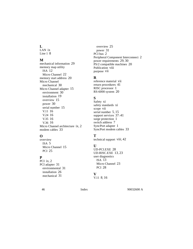#### $\mathbf{L}$

LAN [ix](#page-8-0) Line 1 [8](#page-19-0)

#### **M**

mechanical information [29](#page-40-0) memory map utility ISA [12](#page-23-0) Micro Channel [22](#page-33-0) memory start address [20](#page-31-0) Micro Channel mechanical [30](#page-41-0) Micro Channel adapter [15](#page-26-0) environment [30](#page-41-0) installation [19](#page-30-0) overview [15](#page-26-0) power [30](#page-41-0) serial number [15](#page-26-0) V.11 [16](#page-27-0) V.24 [16](#page-27-0) V.35 [16](#page-27-0) V.36 [16](#page-27-0) Micro Channel architecture [ix](#page-8-0), [2](#page-13-0) modem cables [33](#page-44-0)

#### **O**

overview ISA [5](#page-16-0) Micro Channel [15](#page-26-0) PCI [25](#page-36-0)

#### **P**

PCI [ix,](#page-8-0) [2](#page-13-0) PCI adapter [31](#page-42-0) environmental [31](#page-42-0) installation [26](#page-37-0) mechanical [31](#page-42-0)

overview [25](#page-36-0) power [31](#page-42-0) PCI bus [2](#page-13-0) Peripheral Component Interconnect [2](#page-13-0) power requirements [29](#page-40-0), [30](#page-41-0) PS/2 compatible machines [20](#page-31-0) Publication [viii](#page-7-0) purpose [vii](#page-6-0)

#### **R**

reference material [vii](#page-6-0) return procedures [41](#page-52-0) RISC processor [1](#page-12-0) RS-6000 system [20](#page-31-0)

#### **S**

Safety [xi](#page-10-0) safety standards [xi](#page-10-0) scope [vii](#page-6-0) serial number [5,](#page-16-0) [15](#page-26-0) support services [37](#page-48-0)–[41](#page-52-0) surge protection [1](#page-12-0) switch address [7](#page-18-0) SyncPort adapter [1](#page-12-0) SyncPort modem cables [33](#page-44-0)

#### **T**

technical support [viii,](#page-7-0) [42](#page-53-0)

#### **U**

UD-PCI.EXE [28](#page-39-0) UD-RISC.EXE [13,](#page-24-0) [23](#page-34-0) user diagnostics ISA [13](#page-24-0) Micro Channel [23](#page-34-0) PCI [28](#page-39-0)

#### **V**

V.11 [8](#page-19-0), [16](#page-27-0)

46 Index 90032600 A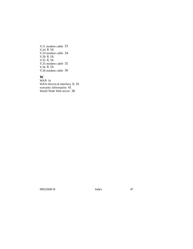V.11 modem cable [33](#page-44-0) V.24 [8](#page-19-0), [16](#page-27-0) V.24 modem cable [34](#page-45-0) V.28 [8](#page-19-0), [16](#page-27-0) V.35 [8](#page-19-0), [16](#page-27-0) V.35 modem cable [35](#page-46-0) V.36 [8](#page-19-0), [16](#page-27-0) V.36 modem cable [36](#page-47-0)

#### **W**

WAN [ix](#page-8-0) WAN electrical interface [8,](#page-19-0) [16](#page-27-0) warranty information [41](#page-52-0) World Wide Web server [38](#page-49-0)